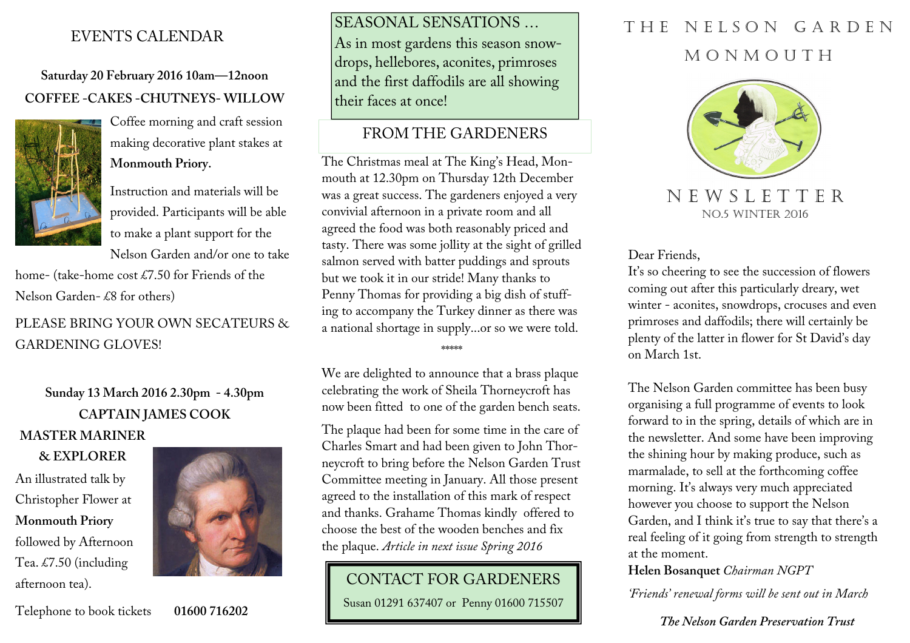## EVENTS CALENDAR

**Saturday 20 February 2016 10am—12noon COFFEE -CAKES -CHUTNEYS- WILLOW**



 Coffee morning and craft session making decorative plant stakes at**Monmouth Priory.** 

Instruction and materials will be provided. Participants will be able to make a plant support for the Nelson Garden and/or one to take

home- (take-home cost £7.50 for Friends of the Nelson Garden- £8 for others)

PLEASE BRING YOUR OWN SECATEURS & GARDENING GLOVES!

# **Sunday 13 March 2016 2.30pm - 4.30pm CAPTAIN JAMES COOK MASTER MARINER**

**& EXPLORER** An illustrated talk by Christopher Flower at **Monmouth Priory**followed by Afternoon Tea. £7.50 (including afternoon tea).



Telephone to book tickets **01600 716202** 

SEASONAL SENSATIONS … As in most gardens this season snowdrops, hellebores, aconites, primroses and the first daffodils are all showing their faces at once!

### FROM THE GARDENERS

The Christmas meal at The King's Head, Monmouth at 12.30pm on Thursday 12th December was a great success. The gardeners enjoyed a very convivial afternoon in a private room and all agreed the food was both reasonably priced and tasty. There was some jollity at the sight of grilled salmon served with batter puddings and sprouts but we took it in our stride! Many thanks to Penny Thomas for providing a big dish of stuffing to accompany the Turkey dinner as there was a national shortage in supply...or so we were told.

\*\*\*\*\*

We are delighted to announce that a brass plaque celebrating the work of Sheila Thorneycroft has now been fitted to one of the garden bench seats.

The plaque had been for some time in the care of Charles Smart and had been given to John Thorneycroft to bring before the Nelson Garden Trust Committee meeting in January. All those present agreed to the installation of this mark of respect and thanks. Grahame Thomas kindly offered to choose the best of the wooden benches and fix the plaque. *Article in next issue Spring 2016* 

## CONTACT FOR GARDENERS

Susan 01291 637407 or Penny 01600 715507

# THE NELSON GARDEN M O N M O U T H



N E W S L E T T E R NO.5 WINTER 2016

Dear Friends,

It's so cheering to see the succession of flowers coming out after this particularly dreary, wet winter - aconites, snowdrops, crocuses and even primroses and daffodils; there will certainly be plenty of the latter in flower for St David's day on March 1st.

The Nelson Garden committee has been busy organising a full programme of events to look forward to in the spring, details of which are in the newsletter. And some have been improving the shining hour by making produce, such as marmalade, to sell at the forthcoming coffee morning. It's always very much appreciated however you choose to support the Nelson Garden, and I think it's true to say that there's a real feeling of it going from strength to strength at the moment.

**Helen Bosanquet** *Chairman NGPT* 

*'Friends' renewal forms will be sent out in March* 

#### *The Nelson Garden Preservation Trust*